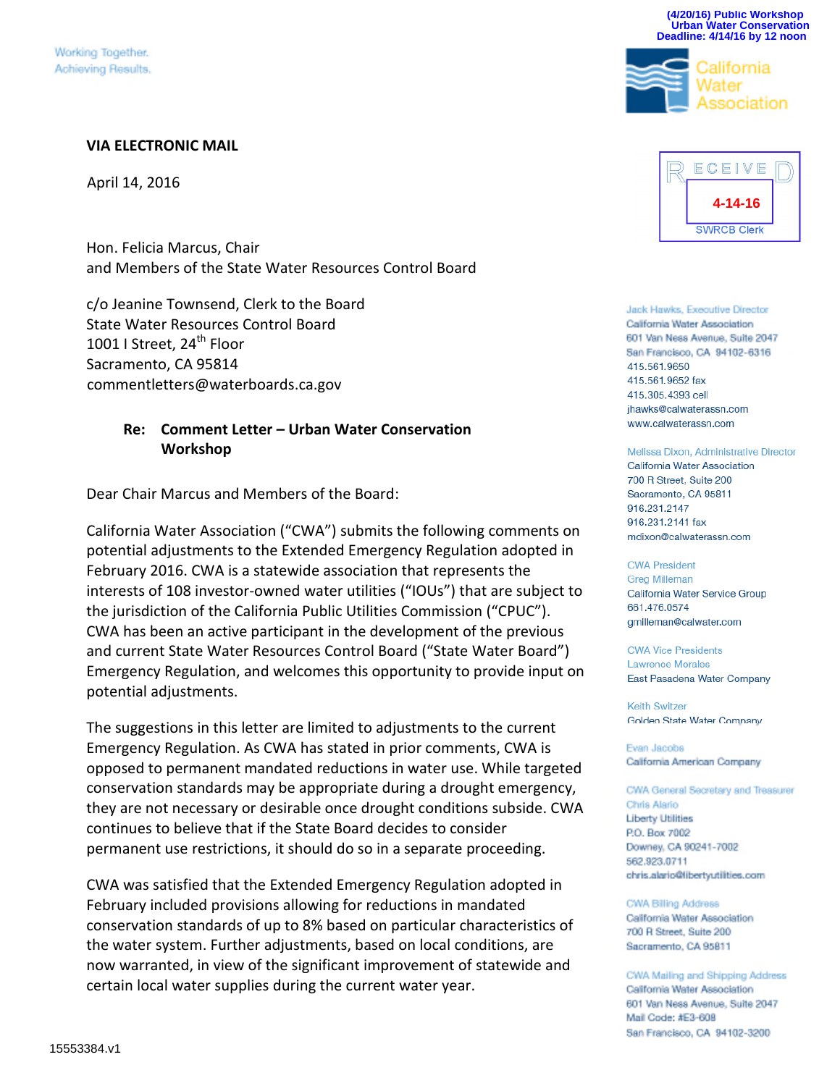#### **VIA ELECTRONIC MAIL**

April 14, 2016

Hon. Felicia Marcus, Chair and Members of the State Water Resources Control Board

c/o Jeanine Townsend, Clerk to the Board State Water Resources Control Board 1001 I Street,  $24^{\text{th}}$  Floor Sacramento, CA 95814 commentletters@waterboards.ca.gov

#### **Re: Comment Letter – Urban Water Conservation Workshop**

Dear Chair Marcus and Members of the Board:

California Water Association ("CWA") submits the following comments on potential adjustments to the Extended Emergency Regulation adopted in February 2016. CWA is a statewide association that represents the interests of 108 investor-owned water utilities ("IOUs") that are subject to the jurisdiction of the California Public Utilities Commission ("CPUC"). CWA has been an active participant in the development of the previous and current State Water Resources Control Board ("State Water Board") Emergency Regulation, and welcomes this opportunity to provide input on potential adjustments.

The suggestions in this letter are limited to adjustments to the current Emergency Regulation. As CWA has stated in prior comments, CWA is opposed to permanent mandated reductions in water use. While targeted conservation standards may be appropriate during a drought emergency, they are not necessary or desirable once drought conditions subside. CWA continues to believe that if the State Board decides to consider permanent use restrictions, it should do so in a separate proceeding.

CWA was satisfied that the Extended Emergency Regulation adopted in February included provisions allowing for reductions in mandated conservation standards of up to 8% based on particular characteristics of the water system. Further adjustments, based on local conditions, are now warranted, in view of the significant improvement of statewide and certain local water supplies during the current water year.



**(4/20/16) Public Workshop Urban Water Conservation Deadline: 4/14/16 by 12 noon** 

alifornia

Jack Hawks, Executive Director California Water Association 601 Van Ness Avenue, Suite 2047 San Francisco, CA 94102-6316 415.561.9650 415.561.9652 fax 415.305.4393 cell jhawks@calwaterassn.com www.calwaterassn.com

Melissa Dixon, Administrative Director California Water Association 700 R Street, Suite 200 Sacramento, CA 95811 916.231.2147 916.231.2141 fax mdixon@calwaterassn.com

**CWA President Greg Milleman** California Water Service Group 661.476.0574 gmilleman@calwater.com

**CWA Vice Presidents** Lawrence Morales East Pasadena Water Company

**Keith Switzer** Golden State Water Company

Evan Jacobs California American Company

CWA General Secretary and Treasurer Chris Alario **Liberty Utilities** P.O. Box 7002 Downey, CA 90241-7002 562.923.0711 chris.alario@libertyutilities.com

CWA Billing Address California Water Association 700 R Street, Suite 200 Sacramento, CA 95811

CWA Mailing and Shipping Address California Water Association 601 Van Ness Avenue, Suite 2047 Mail Code: #E3-608 San Francisco, CA 94102-3200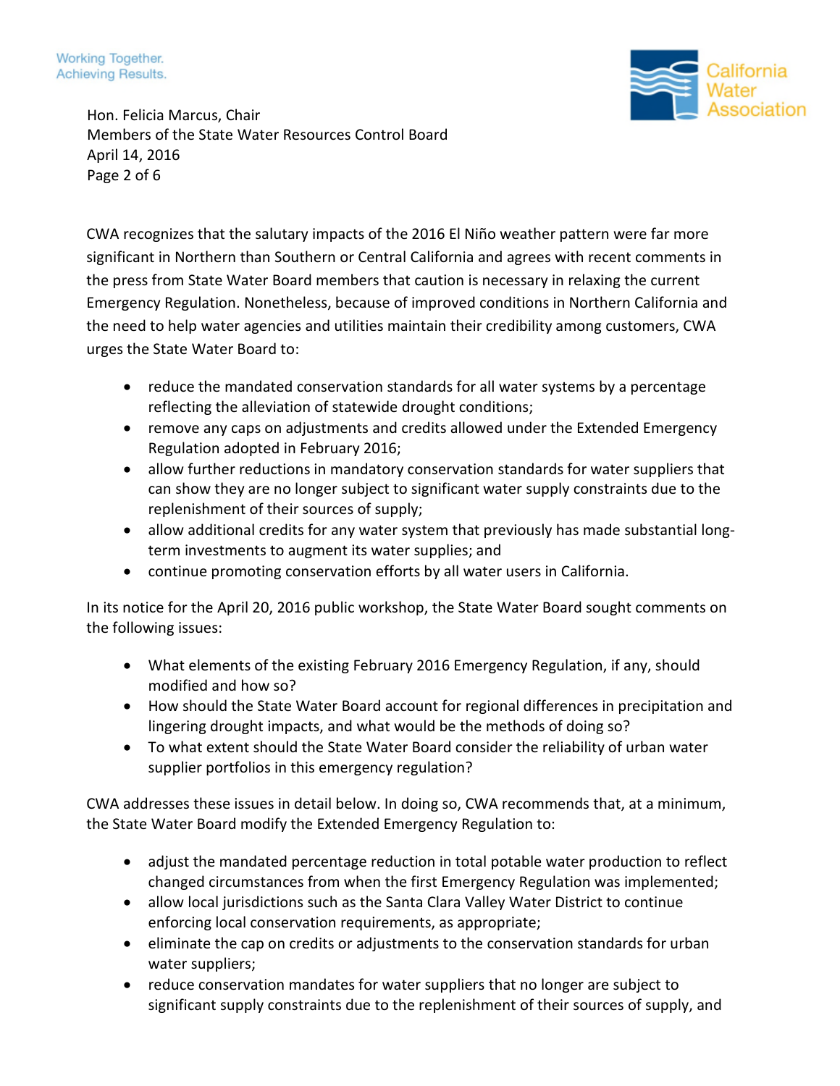Working Together. Achieving Results.



Hon. Felicia Marcus, Chair Members of the State Water Resources Control Board April 14, 2016 Page 2 of 6

CWA recognizes that the salutary impacts of the 2016 El Niño weather pattern were far more significant in Northern than Southern or Central California and agrees with recent comments in the press from State Water Board members that caution is necessary in relaxing the current Emergency Regulation. Nonetheless, because of improved conditions in Northern California and the need to help water agencies and utilities maintain their credibility among customers, CWA urges the State Water Board to:

- reduce the mandated conservation standards for all water systems by a percentage reflecting the alleviation of statewide drought conditions;
- remove any caps on adjustments and credits allowed under the Extended Emergency Regulation adopted in February 2016;
- allow further reductions in mandatory conservation standards for water suppliers that can show they are no longer subject to significant water supply constraints due to the replenishment of their sources of supply;
- allow additional credits for any water system that previously has made substantial longterm investments to augment its water supplies; and
- continue promoting conservation efforts by all water users in California.

In its notice for the April 20, 2016 public workshop, the State Water Board sought comments on the following issues:

- What elements of the existing February 2016 Emergency Regulation, if any, should modified and how so?
- How should the State Water Board account for regional differences in precipitation and lingering drought impacts, and what would be the methods of doing so?
- To what extent should the State Water Board consider the reliability of urban water supplier portfolios in this emergency regulation?

CWA addresses these issues in detail below. In doing so, CWA recommends that, at a minimum, the State Water Board modify the Extended Emergency Regulation to:

- adjust the mandated percentage reduction in total potable water production to reflect changed circumstances from when the first Emergency Regulation was implemented;
- allow local jurisdictions such as the Santa Clara Valley Water District to continue enforcing local conservation requirements, as appropriate;
- eliminate the cap on credits or adjustments to the conservation standards for urban water suppliers;
- reduce conservation mandates for water suppliers that no longer are subject to significant supply constraints due to the replenishment of their sources of supply, and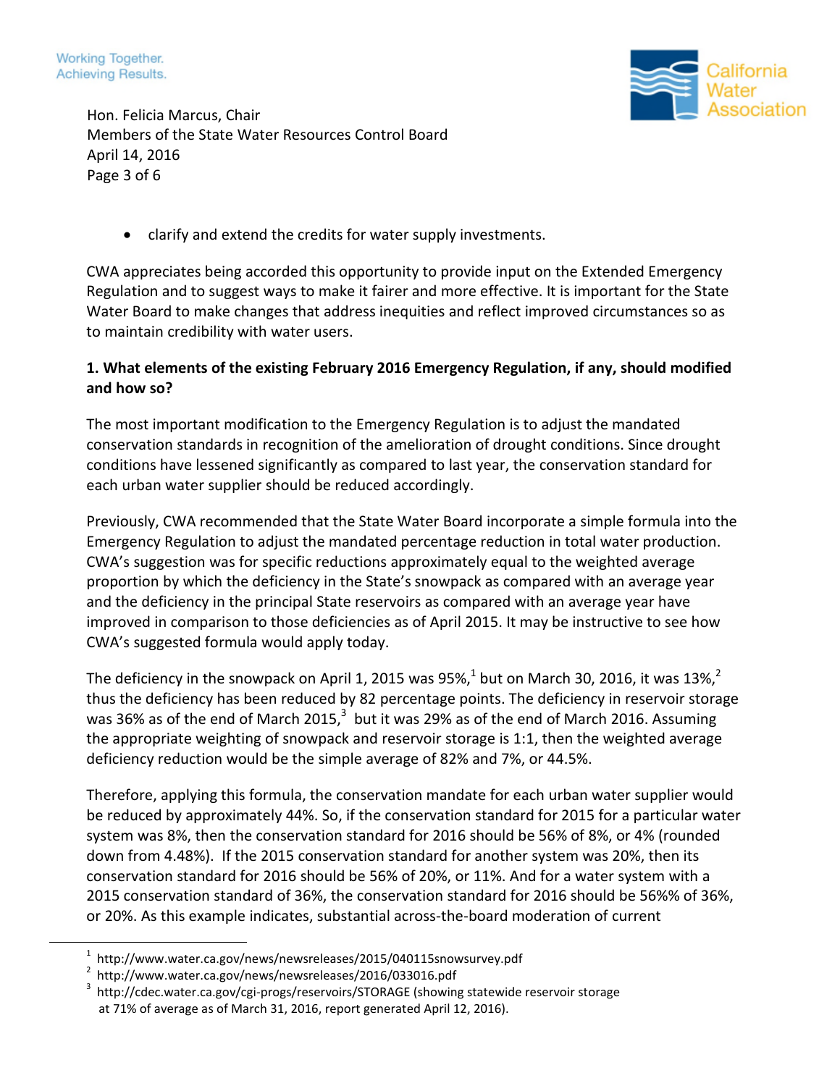



Hon. Felicia Marcus, Chair Members of the State Water Resources Control Board April 14, 2016 Page 3 of 6

clarify and extend the credits for water supply investments.

CWA appreciates being accorded this opportunity to provide input on the Extended Emergency Regulation and to suggest ways to make it fairer and more effective. It is important for the State Water Board to make changes that address inequities and reflect improved circumstances so as to maintain credibility with water users.

## **1. What elements of the existing February 2016 Emergency Regulation, if any, should modified and how so?**

The most important modification to the Emergency Regulation is to adjust the mandated conservation standards in recognition of the amelioration of drought conditions. Since drought conditions have lessened significantly as compared to last year, the conservation standard for each urban water supplier should be reduced accordingly.

Previously, CWA recommended that the State Water Board incorporate a simple formula into the Emergency Regulation to adjust the mandated percentage reduction in total water production. CWA's suggestion was for specific reductions approximately equal to the weighted average proportion by which the deficiency in the State's snowpack as compared with an average year and the deficiency in the principal State reservoirs as compared with an average year have improved in comparison to those deficiencies as of April 2015. It may be instructive to see how CWA's suggested formula would apply today.

The deficiency in the snowpack on April [1](#page-2-0), [2](#page-2-1)015 was 95%, $^1$  but on March 30, 2016, it was 13%, $^2$ thus the deficiency has been reduced by 82 percentage points. The deficiency in reservoir storage was [3](#page-2-2)6% as of the end of March 2015, $^3$  but it was 29% as of the end of March 2016. Assuming the appropriate weighting of snowpack and reservoir storage is 1:1, then the weighted average deficiency reduction would be the simple average of 82% and 7%, or 44.5%.

Therefore, applying this formula, the conservation mandate for each urban water supplier would be reduced by approximately 44%. So, if the conservation standard for 2015 for a particular water system was 8%, then the conservation standard for 2016 should be 56% of 8%, or 4% (rounded down from 4.48%). If the 2015 conservation standard for another system was 20%, then its conservation standard for 2016 should be 56% of 20%, or 11%. And for a water system with a 2015 conservation standard of 36%, the conservation standard for 2016 should be 56%% of 36%, or 20%. As this example indicates, substantial across-the-board moderation of current

<span id="page-2-1"></span><span id="page-2-0"></span> $^1$  http://www.water.ca.gov/news/newsreleases/2015/040115snowsurvey.pdf

<sup>2</sup> http://www.water.ca.gov/news/newsreleases/2016/033016.pdf

<span id="page-2-2"></span><sup>3</sup> http://cdec.water.ca.gov/cgi-progs/reservoirs/STORAGE (showing statewide reservoir storage at 71% of average as of March 31, 2016, report generated April 12, 2016).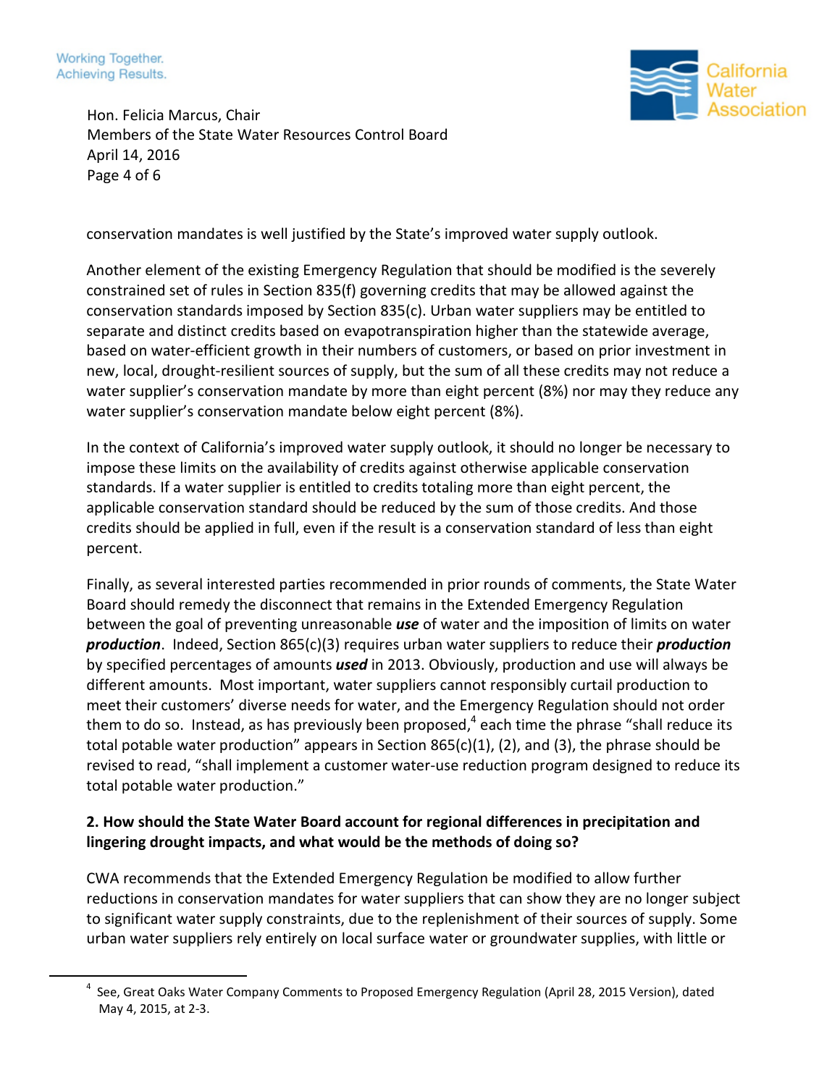



Hon. Felicia Marcus, Chair Members of the State Water Resources Control Board April 14, 2016 Page 4 of 6

conservation mandates is well justified by the State's improved water supply outlook.

Another element of the existing Emergency Regulation that should be modified is the severely constrained set of rules in Section 835(f) governing credits that may be allowed against the conservation standards imposed by Section 835(c). Urban water suppliers may be entitled to separate and distinct credits based on evapotranspiration higher than the statewide average, based on water-efficient growth in their numbers of customers, or based on prior investment in new, local, drought-resilient sources of supply, but the sum of all these credits may not reduce a water supplier's conservation mandate by more than eight percent (8%) nor may they reduce any water supplier's conservation mandate below eight percent (8%).

In the context of California's improved water supply outlook, it should no longer be necessary to impose these limits on the availability of credits against otherwise applicable conservation standards. If a water supplier is entitled to credits totaling more than eight percent, the applicable conservation standard should be reduced by the sum of those credits. And those credits should be applied in full, even if the result is a conservation standard of less than eight percent.

Finally, as several interested parties recommended in prior rounds of comments, the State Water Board should remedy the disconnect that remains in the Extended Emergency Regulation between the goal of preventing unreasonable *use* of water and the imposition of limits on water *production*. Indeed, Section 865(c)(3) requires urban water suppliers to reduce their *production* by specified percentages of amounts *used* in 2013. Obviously, production and use will always be different amounts. Most important, water suppliers cannot responsibly curtail production to meet their customers' diverse needs for water, and the Emergency Regulation should not order them to do so. Instead, as has previously been proposed,<sup>[4](#page-3-0)</sup> each time the phrase "shall reduce its total potable water production" appears in Section 865(c)(1), (2), and (3), the phrase should be revised to read, "shall implement a customer water-use reduction program designed to reduce its total potable water production."

# **2. How should the State Water Board account for regional differences in precipitation and lingering drought impacts, and what would be the methods of doing so?**

CWA recommends that the Extended Emergency Regulation be modified to allow further reductions in conservation mandates for water suppliers that can show they are no longer subject to significant water supply constraints, due to the replenishment of their sources of supply. Some urban water suppliers rely entirely on local surface water or groundwater supplies, with little or

<span id="page-3-0"></span><sup>&</sup>lt;sup>4</sup> See, Great Oaks Water Company Comments to Proposed Emergency Regulation (April 28, 2015 Version), dated May 4, 2015, at 2-3.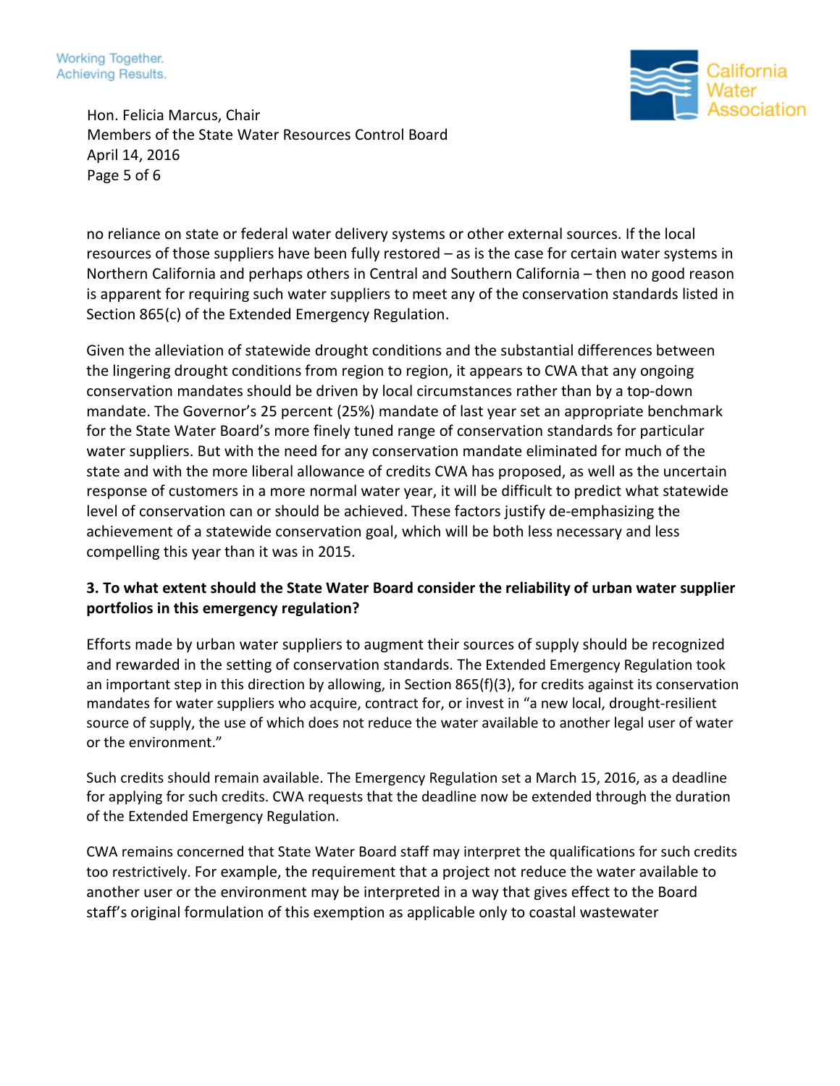Working Together. Achieving Results.



Hon. Felicia Marcus, Chair Members of the State Water Resources Control Board April 14, 2016 Page 5 of 6

no reliance on state or federal water delivery systems or other external sources. If the local resources of those suppliers have been fully restored – as is the case for certain water systems in Northern California and perhaps others in Central and Southern California – then no good reason is apparent for requiring such water suppliers to meet any of the conservation standards listed in Section 865(c) of the Extended Emergency Regulation.

Given the alleviation of statewide drought conditions and the substantial differences between the lingering drought conditions from region to region, it appears to CWA that any ongoing conservation mandates should be driven by local circumstances rather than by a top-down mandate. The Governor's 25 percent (25%) mandate of last year set an appropriate benchmark for the State Water Board's more finely tuned range of conservation standards for particular water suppliers. But with the need for any conservation mandate eliminated for much of the state and with the more liberal allowance of credits CWA has proposed, as well as the uncertain response of customers in a more normal water year, it will be difficult to predict what statewide level of conservation can or should be achieved. These factors justify de-emphasizing the achievement of a statewide conservation goal, which will be both less necessary and less compelling this year than it was in 2015.

### **3. To what extent should the State Water Board consider the reliability of urban water supplier portfolios in this emergency regulation?**

Efforts made by urban water suppliers to augment their sources of supply should be recognized and rewarded in the setting of conservation standards. The Extended Emergency Regulation took an important step in this direction by allowing, in Section 865(f)(3), for credits against its conservation mandates for water suppliers who acquire, contract for, or invest in "a new local, drought-resilient source of supply, the use of which does not reduce the water available to another legal user of water or the environment."

Such credits should remain available. The Emergency Regulation set a March 15, 2016, as a deadline for applying for such credits. CWA requests that the deadline now be extended through the duration of the Extended Emergency Regulation.

CWA remains concerned that State Water Board staff may interpret the qualifications for such credits too restrictively. For example, the requirement that a project not reduce the water available to another user or the environment may be interpreted in a way that gives effect to the Board staff's original formulation of this exemption as applicable only to coastal wastewater